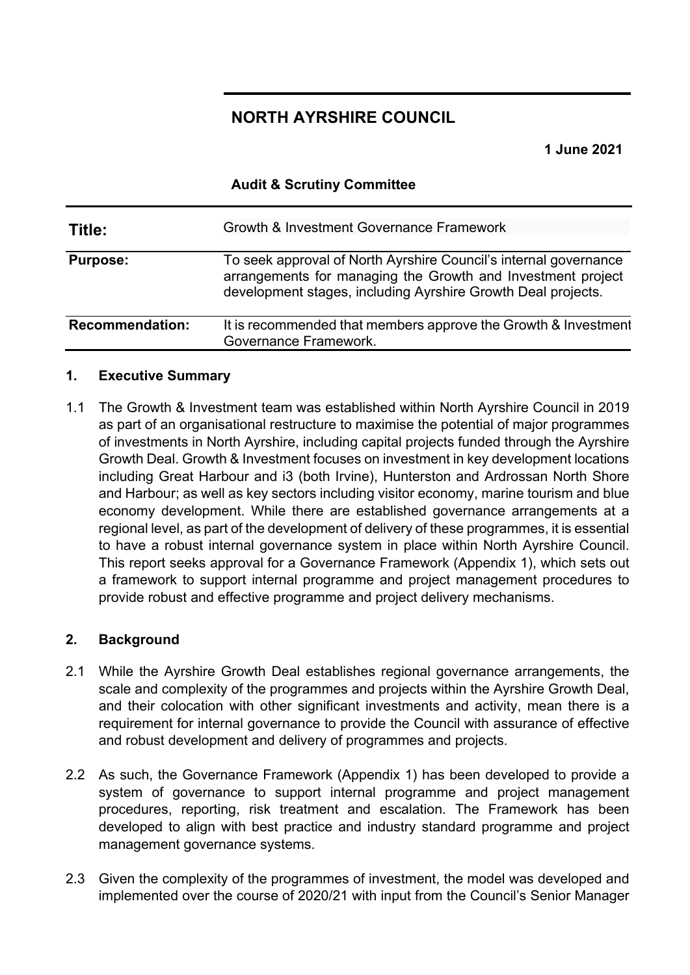### **NORTH AYRSHIRE COUNCIL**

**1 June 2021**

#### **Audit & Scrutiny Committee**

| Title:                 | Growth & Investment Governance Framework                                                                                                                                                        |
|------------------------|-------------------------------------------------------------------------------------------------------------------------------------------------------------------------------------------------|
| <b>Purpose:</b>        | To seek approval of North Ayrshire Council's internal governance<br>arrangements for managing the Growth and Investment project<br>development stages, including Ayrshire Growth Deal projects. |
| <b>Recommendation:</b> | It is recommended that members approve the Growth & Investment<br>Governance Framework.                                                                                                         |

### **1. Executive Summary**

1.1 The Growth & Investment team was established within North Ayrshire Council in 2019 as part of an organisational restructure to maximise the potential of major programmes of investments in North Ayrshire, including capital projects funded through the Ayrshire Growth Deal. Growth & Investment focuses on investment in key development locations including Great Harbour and i3 (both Irvine), Hunterston and Ardrossan North Shore and Harbour; as well as key sectors including visitor economy, marine tourism and blue economy development. While there are established governance arrangements at a regional level, as part of the development of delivery of these programmes, it is essential to have a robust internal governance system in place within North Ayrshire Council. This report seeks approval for a Governance Framework (Appendix 1), which sets out a framework to support internal programme and project management procedures to provide robust and effective programme and project delivery mechanisms.

### **2. Background**

- 2.1 While the Ayrshire Growth Deal establishes regional governance arrangements, the scale and complexity of the programmes and projects within the Ayrshire Growth Deal, and their colocation with other significant investments and activity, mean there is a requirement for internal governance to provide the Council with assurance of effective and robust development and delivery of programmes and projects.
- 2.2 As such, the Governance Framework (Appendix 1) has been developed to provide a system of governance to support internal programme and project management procedures, reporting, risk treatment and escalation. The Framework has been developed to align with best practice and industry standard programme and project management governance systems.
- 2.3 Given the complexity of the programmes of investment, the model was developed and implemented over the course of 2020/21 with input from the Council's Senior Manager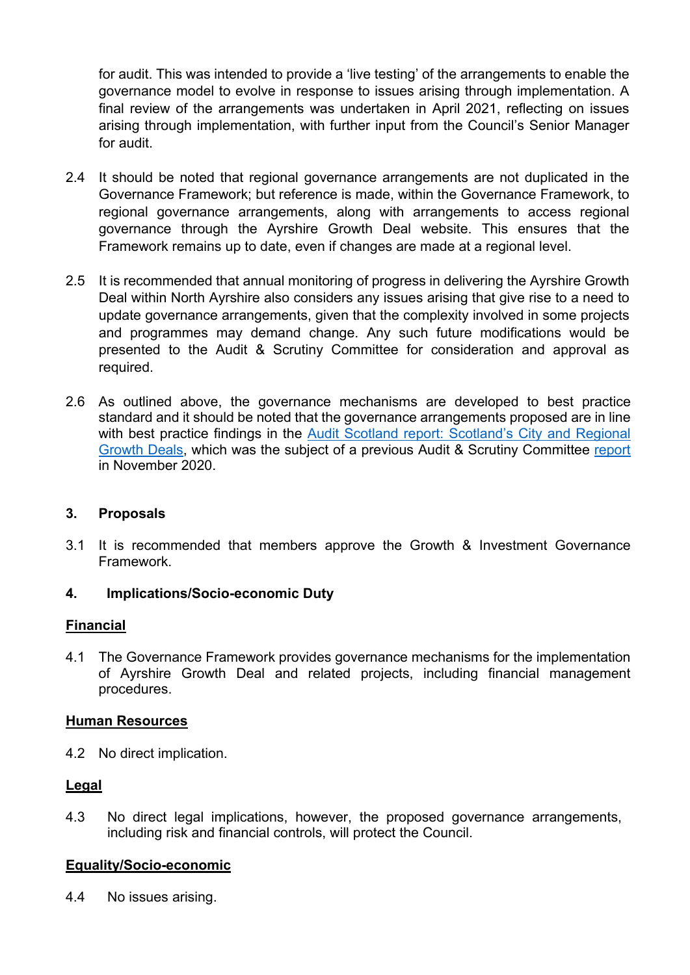for audit. This was intended to provide a 'live testing' of the arrangements to enable the governance model to evolve in response to issues arising through implementation. A final review of the arrangements was undertaken in April 2021, reflecting on issues arising through implementation, with further input from the Council's Senior Manager for audit.

- 2.4 It should be noted that regional governance arrangements are not duplicated in the Governance Framework; but reference is made, within the Governance Framework, to regional governance arrangements, along with arrangements to access regional governance through the Ayrshire Growth Deal website. This ensures that the Framework remains up to date, even if changes are made at a regional level.
- 2.5 It is recommended that annual monitoring of progress in delivering the Ayrshire Growth Deal within North Ayrshire also considers any issues arising that give rise to a need to update governance arrangements, given that the complexity involved in some projects and programmes may demand change. Any such future modifications would be presented to the Audit & Scrutiny Committee for consideration and approval as required.
- 2.6 As outlined above, the governance mechanisms are developed to best practice standard and it should be noted that the governance arrangements proposed are in line with best practice findings in the Audit Scotland report: Scotland's City and Regional [Growth Deals,](https://www.audit-scotland.gov.uk/uploads/docs/report/2020/nr_200116_city_deals.pdf) which was the subject of a previous Audit & Scrutiny Committee [report](http://north-ayrshire.cmis.uk.com/north-ayrshire/Document.ashx?czJKcaeAi5tUFL1DTL2UE4zNRBcoShgo=O2ef6Bw8yjKtmGsPABCr18FjfnNBXN%2FP8bWLs1v67OyjbpOVybv6tg%3D%3D&rUzwRPf%2BZ3zd4E7Ikn8Lyw%3D%3D=pwRE6AGJFLDNlh225F5QMaQWCtPHwdhUfCZ%2FLUQzgA2uL5jNRG4jdQ%3D%3D&mCTIbCubSFfXsDGW9IXnlg%3D%3D=hFflUdN3100%3D&kCx1AnS9%2FpWZQ40DXFvdEw%3D%3D=hFflUdN3100%3D&uJovDxwdjMPoYv%2BAJvYtyA%3D%3D=ctNJFf55vVA%3D&FgPlIEJYlotS%2BYGoBi5olA%3D%3D=NHdURQburHA%3D&d9Qjj0ag1Pd993jsyOJqFvmyB7X0CSQK=ctNJFf55vVA%3D&WGewmoAfeNR9xqBux0r1Q8Za60lavYmz=ctNJFf55vVA%3D&WGewmoAfeNQ16B2MHuCpMRKZMwaG1PaO=ctNJFf55vVA%3D) in November 2020.

### **3. Proposals**

3.1 It is recommended that members approve the Growth & Investment Governance Framework.

### **4. Implications/Socio-economic Duty**

### **Financial**

4.1 The Governance Framework provides governance mechanisms for the implementation of Ayrshire Growth Deal and related projects, including financial management procedures.

### **Human Resources**

4.2 No direct implication.

### **Legal**

4.3 No direct legal implications, however, the proposed governance arrangements, including risk and financial controls, will protect the Council.

### **Equality/Socio-economic**

4.4 No issues arising.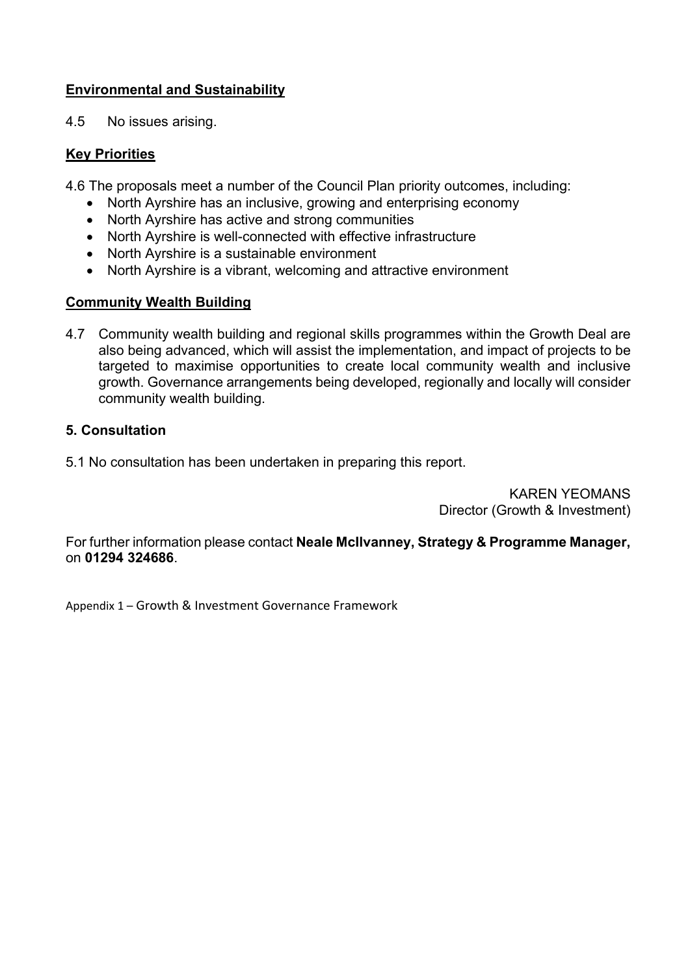### **Environmental and Sustainability**

4.5 No issues arising.

### **Key Priorities**

4.6 The proposals meet a number of the Council Plan priority outcomes, including:

- North Ayrshire has an inclusive, growing and enterprising economy
- North Ayrshire has active and strong communities
- North Ayrshire is well-connected with effective infrastructure
- North Ayrshire is a sustainable environment
- North Ayrshire is a vibrant, welcoming and attractive environment

### **Community Wealth Building**

4.7 Community wealth building and regional skills programmes within the Growth Deal are also being advanced, which will assist the implementation, and impact of projects to be targeted to maximise opportunities to create local community wealth and inclusive growth. Governance arrangements being developed, regionally and locally will consider community wealth building.

### **5. Consultation**

5.1 No consultation has been undertaken in preparing this report.

KAREN YEOMANS Director (Growth & Investment)

For further information please contact **Neale McIlvanney, Strategy & Programme Manager,** on **01294 324686**.

Appendix 1 – Growth & Investment Governance Framework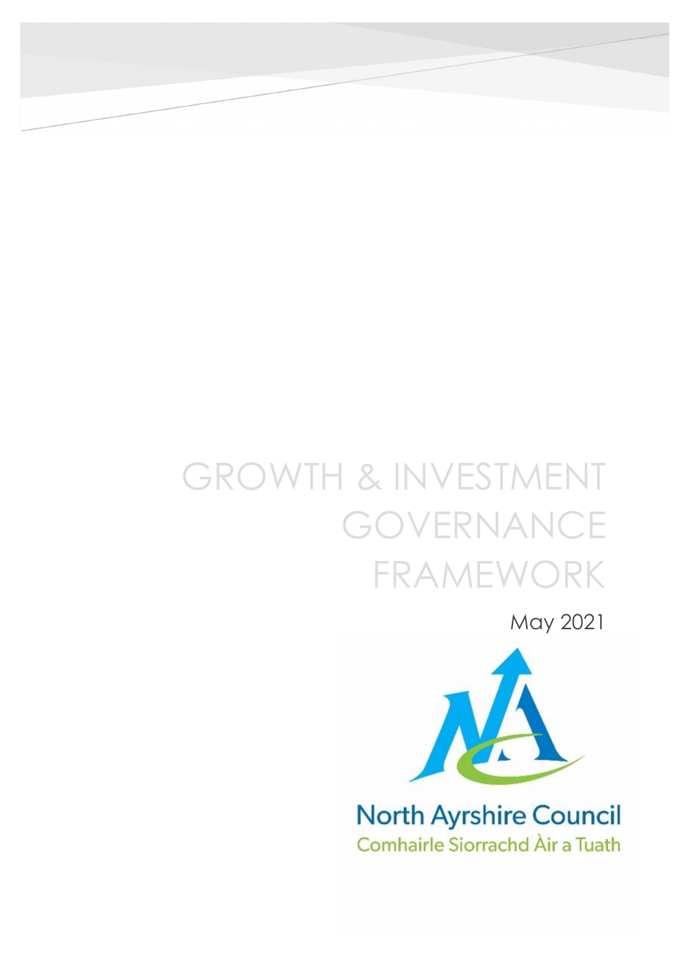# GROWTH & INVESTMENT GOVERNANCE FRAMEWORK

May 2021



**North Ayrshire Council** Comhairle Siorrachd Àir a Tuath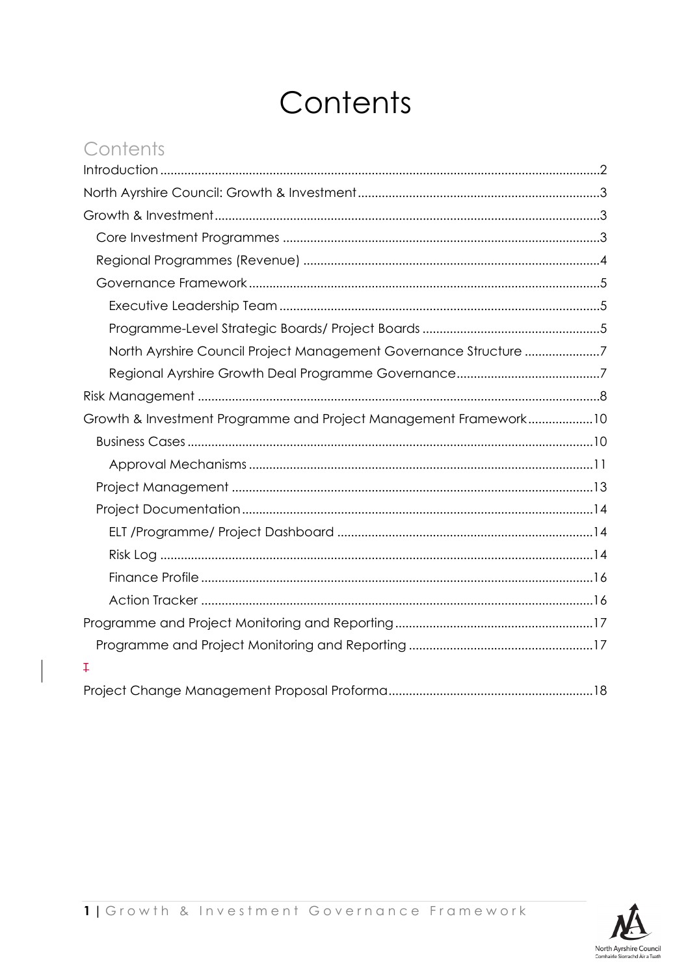# Contents

## Contents

| North Ayrshire Council Project Management Governance Structure 7 |
|------------------------------------------------------------------|
|                                                                  |
|                                                                  |
| Growth & Investment Programme and Project Management Framework10 |
|                                                                  |
|                                                                  |
|                                                                  |
|                                                                  |
|                                                                  |
|                                                                  |
|                                                                  |
|                                                                  |
|                                                                  |
|                                                                  |
| Ŧ                                                                |
|                                                                  |

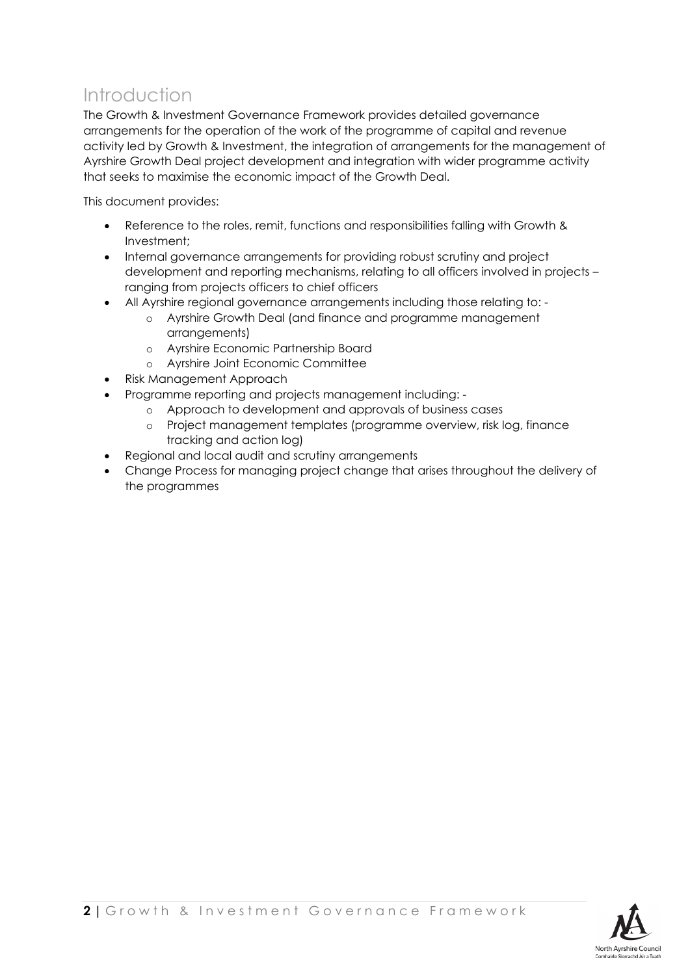### <span id="page-5-0"></span>Introduction

The Growth & Investment Governance Framework provides detailed governance arrangements for the operation of the work of the programme of capital and revenue activity led by Growth & Investment, the integration of arrangements for the management of Ayrshire Growth Deal project development and integration with wider programme activity that seeks to maximise the economic impact of the Growth Deal.

This document provides:

- Reference to the roles, remit, functions and responsibilities falling with Growth & Investment;
- Internal governance arrangements for providing robust scrutiny and project development and reporting mechanisms, relating to all officers involved in projects – ranging from projects officers to chief officers
- All Ayrshire regional governance arrangements including those relating to:
	- o Ayrshire Growth Deal (and finance and programme management arrangements)
	- o Ayrshire Economic Partnership Board
	- o Ayrshire Joint Economic Committee
- Risk Management Approach
- Programme reporting and projects management including:
	- o Approach to development and approvals of business cases
	- o Project management templates (programme overview, risk log, finance tracking and action log)
- Regional and local audit and scrutiny arrangements
- Change Process for managing project change that arises throughout the delivery of the programmes

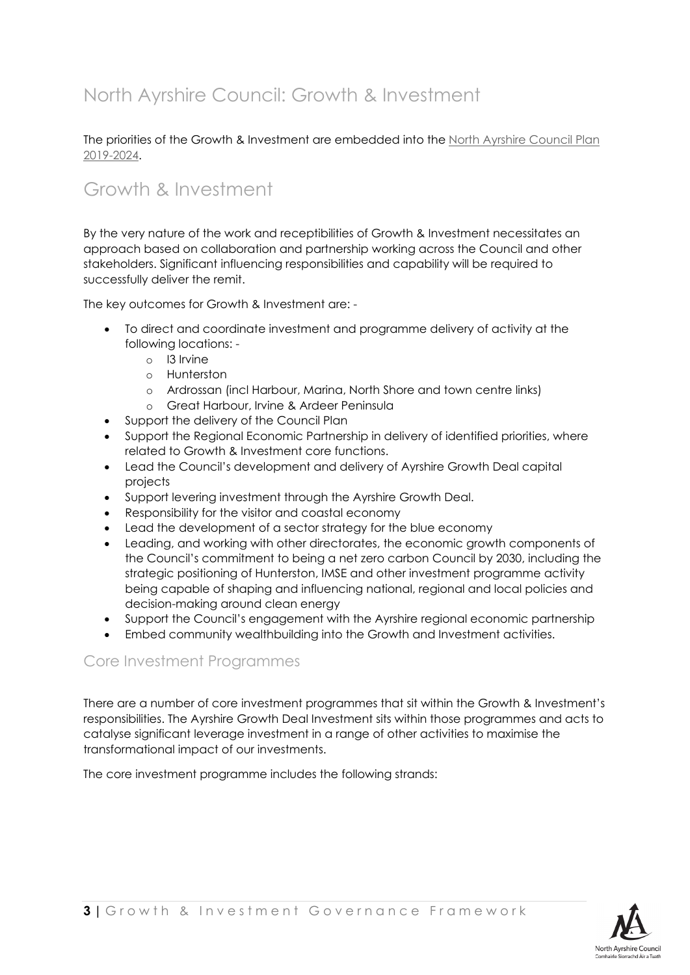## <span id="page-6-0"></span>North Ayrshire Council: Growth & Investment

The priorities of the Growth & Investment are embedded into the [North Ayrshire Council Plan](https://www.north-ayrshire.gov.uk/Documents/CorporateServices/ChiefExecutive/Communications/council-plan-2019.pdf)  [2019-2024.](https://www.north-ayrshire.gov.uk/Documents/CorporateServices/ChiefExecutive/Communications/council-plan-2019.pdf)

### <span id="page-6-1"></span>Growth & Investment

By the very nature of the work and receptibilities of Growth & Investment necessitates an approach based on collaboration and partnership working across the Council and other stakeholders. Significant influencing responsibilities and capability will be required to successfully deliver the remit.

The key outcomes for Growth & Investment are: -

- To direct and coordinate investment and programme delivery of activity at the following locations:
	- o I3 Irvine
	- o Hunterston
	- o Ardrossan (incl Harbour, Marina, North Shore and town centre links)
	- o Great Harbour, Irvine & Ardeer Peninsula
- Support the delivery of the Council Plan
- Support the Regional Economic Partnership in delivery of identified priorities, where related to Growth & Investment core functions.
- Lead the Council's development and delivery of Ayrshire Growth Deal capital projects
- Support levering investment through the Ayrshire Growth Deal.
- Responsibility for the visitor and coastal economy
- Lead the development of a sector strategy for the blue economy
- Leading, and working with other directorates, the economic growth components of the Council's commitment to being a net zero carbon Council by 2030, including the strategic positioning of Hunterston, IMSE and other investment programme activity being capable of shaping and influencing national, regional and local policies and decision-making around clean energy
- Support the Council's engagement with the Ayrshire regional economic partnership
- Embed community wealthbuilding into the Growth and Investment activities.

### <span id="page-6-2"></span>Core Investment Programmes

There are a number of core investment programmes that sit within the Growth & Investment's responsibilities. The Ayrshire Growth Deal Investment sits within those programmes and acts to catalyse significant leverage investment in a range of other activities to maximise the transformational impact of our investments.

The core investment programme includes the following strands:

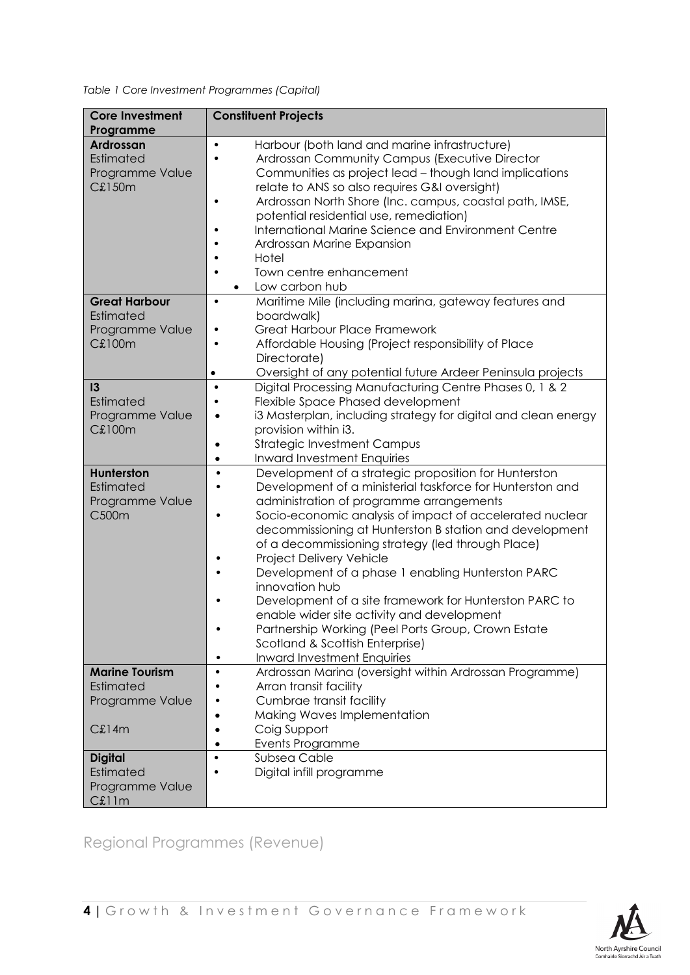*Table 1 Core Investment Programmes (Capital)*

| <b>Core Investment</b><br>Programme                                   | <b>Constituent Projects</b>                                                                                                                                                                                                                                                                                                                                                                                                                                                                                                                                                                                                                                                                                     |  |  |  |
|-----------------------------------------------------------------------|-----------------------------------------------------------------------------------------------------------------------------------------------------------------------------------------------------------------------------------------------------------------------------------------------------------------------------------------------------------------------------------------------------------------------------------------------------------------------------------------------------------------------------------------------------------------------------------------------------------------------------------------------------------------------------------------------------------------|--|--|--|
| <b>Ardrossan</b><br>Estimated<br>Programme Value<br><b>C£150m</b>     | Harbour (both land and marine infrastructure)<br>$\bullet$<br>Ardrossan Community Campus (Executive Director<br>Communities as project lead - though land implications<br>relate to ANS so also requires G&I oversight)<br>Ardrossan North Shore (Inc. campus, coastal path, IMSE,<br>potential residential use, remediation)<br>International Marine Science and Environment Centre<br>Ardrossan Marine Expansion<br>Hotel<br>Town centre enhancement<br>Low carbon hub                                                                                                                                                                                                                                        |  |  |  |
| <b>Great Harbour</b><br>Estimated<br>Programme Value<br><b>C£100m</b> | Maritime Mile (including marina, gateway features and<br>$\bullet$<br>boardwalk)<br><b>Great Harbour Place Framework</b><br>Affordable Housing (Project responsibility of Place<br>Directorate)<br>Oversight of any potential future Ardeer Peninsula projects<br>$\bullet$                                                                                                                                                                                                                                                                                                                                                                                                                                     |  |  |  |
| 3<br>Estimated<br>Programme Value<br><b>C£100m</b>                    | Digital Processing Manufacturing Centre Phases 0, 1 & 2<br>$\bullet$<br>Flexible Space Phased development<br>i3 Masterplan, including strategy for digital and clean energy<br>provision within i3.<br><b>Strategic Investment Campus</b><br><b>Inward Investment Enquiries</b><br>$\bullet$                                                                                                                                                                                                                                                                                                                                                                                                                    |  |  |  |
| Hunterston<br>Estimated<br>Programme Value<br>C500m                   | Development of a strategic proposition for Hunterston<br>$\bullet$<br>Development of a ministerial taskforce for Hunterston and<br>administration of programme arrangements<br>Socio-economic analysis of impact of accelerated nuclear<br>$\bullet$<br>decommissioning at Hunterston B station and development<br>of a decommissioning strategy (led through Place)<br>Project Delivery Vehicle<br>Development of a phase 1 enabling Hunterston PARC<br>innovation hub<br>Development of a site framework for Hunterston PARC to<br>enable wider site activity and development<br>Partnership Working (Peel Ports Group, Crown Estate<br>Scotland & Scottish Enterprise)<br><b>Inward Investment Enquiries</b> |  |  |  |
| <b>Marine Tourism</b><br>Estimated<br>Programme Value<br>C£14m        | Ardrossan Marina (oversight within Ardrossan Programme)<br>$\bullet$<br>Arran transit facility<br>Cumbrae transit facility<br>Making Waves Implementation<br>Coig Support<br><b>Events Programme</b>                                                                                                                                                                                                                                                                                                                                                                                                                                                                                                            |  |  |  |
| <b>Digital</b><br>Estimated<br>Programme Value<br>C£11m               | Subsea Cable<br>$\bullet$<br>Digital infill programme                                                                                                                                                                                                                                                                                                                                                                                                                                                                                                                                                                                                                                                           |  |  |  |

<span id="page-7-0"></span>Regional Programmes (Revenue)

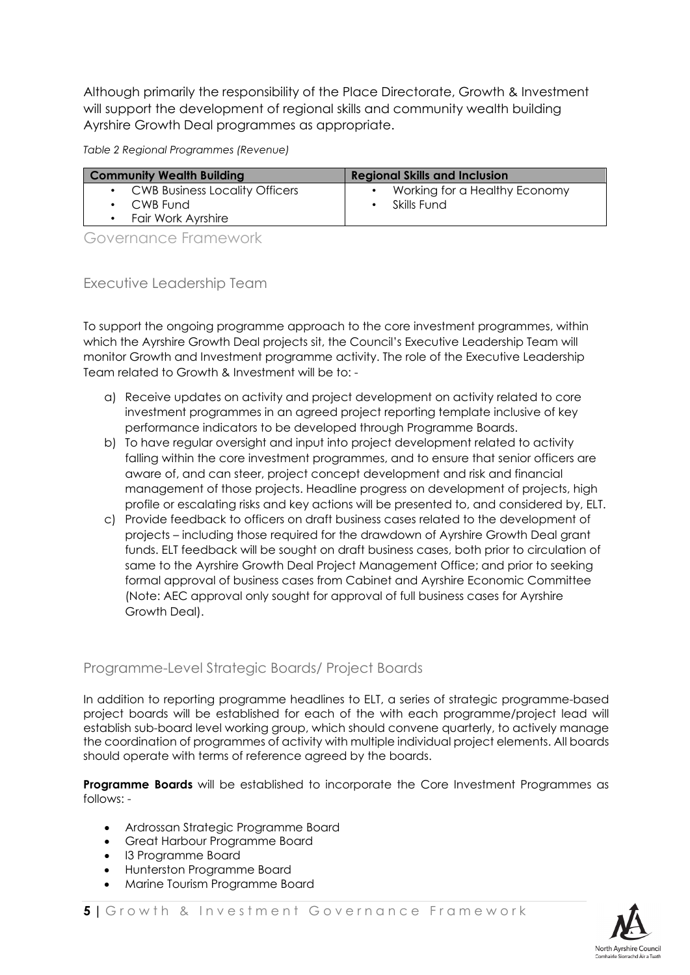Although primarily the responsibility of the Place Directorate, Growth & Investment will support the development of regional skills and community wealth building Ayrshire Growth Deal programmes as appropriate.

*Table 2 Regional Programmes (Revenue)*

| <b>Community Wealth Building</b>                     | <b>Regional Skills and Inclusion</b>         |  |  |
|------------------------------------------------------|----------------------------------------------|--|--|
| • CWB Business Locality Officers<br>$\cdot$ CWB Fund | Working for a Healthy Economy<br>Skills Fund |  |  |
| Fair Work Ayrshire                                   |                                              |  |  |

<span id="page-8-0"></span>Governance Framework

<span id="page-8-1"></span>Executive Leadership Team

To support the ongoing programme approach to the core investment programmes, within which the Ayrshire Growth Deal projects sit, the Council's Executive Leadership Team will monitor Growth and Investment programme activity. The role of the Executive Leadership Team related to Growth & Investment will be to: -

- a) Receive updates on activity and project development on activity related to core investment programmes in an agreed project reporting template inclusive of key performance indicators to be developed through Programme Boards.
- b) To have regular oversight and input into project development related to activity falling within the core investment programmes, and to ensure that senior officers are aware of, and can steer, project concept development and risk and financial management of those projects. Headline progress on development of projects, high profile or escalating risks and key actions will be presented to, and considered by, ELT.
- c) Provide feedback to officers on draft business cases related to the development of projects – including those required for the drawdown of Ayrshire Growth Deal grant funds. ELT feedback will be sought on draft business cases, both prior to circulation of same to the Ayrshire Growth Deal Project Management Office; and prior to seeking formal approval of business cases from Cabinet and Ayrshire Economic Committee (Note: AEC approval only sought for approval of full business cases for Ayrshire Growth Deal).

### <span id="page-8-2"></span>Programme-Level Strategic Boards/ Project Boards

In addition to reporting programme headlines to ELT, a series of strategic programme-based project boards will be established for each of the with each programme/project lead will establish sub-board level working group, which should convene quarterly, to actively manage the coordination of programmes of activity with multiple individual project elements. All boards should operate with terms of reference agreed by the boards.

**Programme Boards** will be established to incorporate the Core Investment Programmes as follows: -

- Ardrossan Strategic Programme Board
- Great Harbour Programme Board
- I3 Programme Board
- Hunterston Programme Board
- Marine Tourism Programme Board

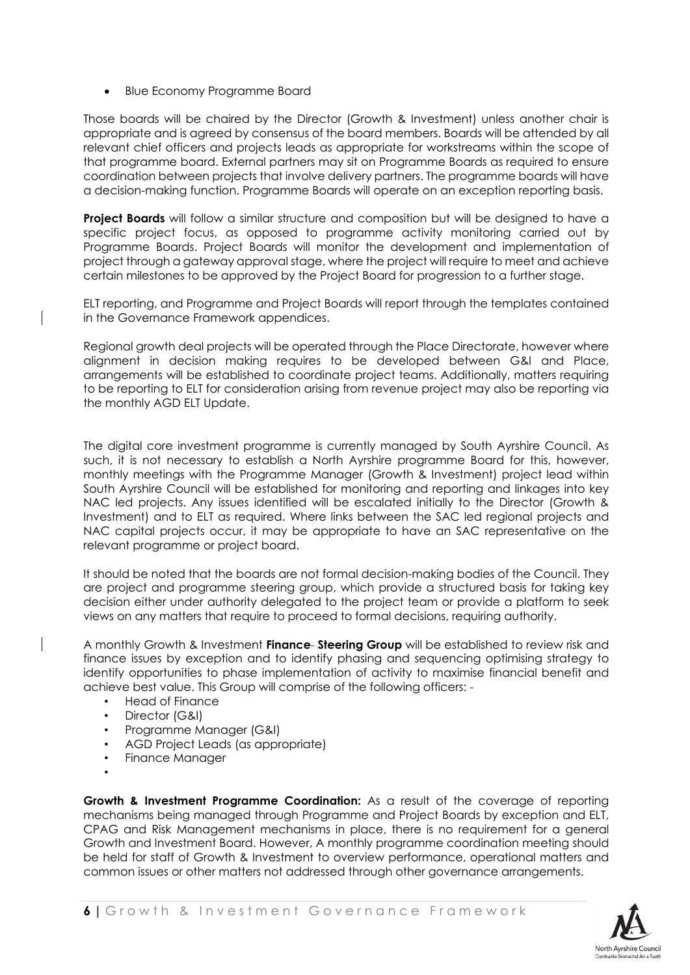• Blue Economy Programme Board

Those boards will be chaired by the Director (Growth & Investment) unless another chair is appropriate and is agreed by consensus of the board members. Boards will be attended by all relevant chief officers and projects leads as appropriate for workstreams within the scope of that programme board. External partners may sit on Programme Boards as required to ensure coordination between projects that involve delivery partners. The programme boards will have a decision-making function. Programme Boards will operate on an exception reporting basis.

**Project Boards** will follow a similar structure and composition but will be designed to have a specific project focus, as opposed to programme activity monitoring carried out by Programme Boards. Project Boards will monitor the development and implementation of project through a gateway approval stage, where the project will require to meet and achieve certain milestones to be approved by the Project Board for progression to a further stage.

ELT reporting, and Programme and Project Boards will report through the templates contained in the Governance Framework appendices.

Regional growth deal projects will be operated through the Place Directorate, however where alignment in decision making requires to be developed between G&I and Place, arrangements will be established to coordinate project teams. Additionally, matters requiring to be reporting to ELT for consideration arising from revenue project may also be reporting via the monthly AGD ELT Update.

The digital core investment programme is currently managed by South Ayrshire Council. As such, it is not necessary to establish a North Ayrshire programme Board for this, however, monthly meetings with the Programme Manager (Growth & Investment) project lead within South Ayrshire Council will be established for monitoring and reporting and linkages into key NAC led projects. Any issues identified will be escalated initially to the Director (Growth & Investment) and to ELT as required. Where links between the SAC led regional projects and NAC capital projects occur, it may be appropriate to have an SAC representative on the relevant programme or project board.

It should be noted that the boards are not formal decision-making bodies of the Council. They are project and programme steering group, which provide a structured basis for taking key decision either under authority delegated to the project team or provide a platform to seek views on any matters that require to proceed to formal decisions, requiring authority.

A monthly Growth & Investment **Finance Steering Group** will be established to review risk and finance issues by exception and to identify phasing and sequencing optimising strategy to identify opportunities to phase implementation of activity to maximise financial benefit and achieve best value. This Group will comprise of the following officers: -

- Head of Finance
- Director (G&I)
- Programme Manager (G&I)
- AGD Project Leads (as appropriate)
- Finance Manager
- •

**Growth & Investment Programme Coordination:** As a result of the coverage of reporting mechanisms being managed through Programme and Project Boards by exception and ELT, CPAG and Risk Management mechanisms in place, there is no requirement for a general Growth and Investment Board. However, A monthly programme coordination meeting should be held for staff of Growth & Investment to overview performance, operational matters and common issues or other matters not addressed through other governance arrangements.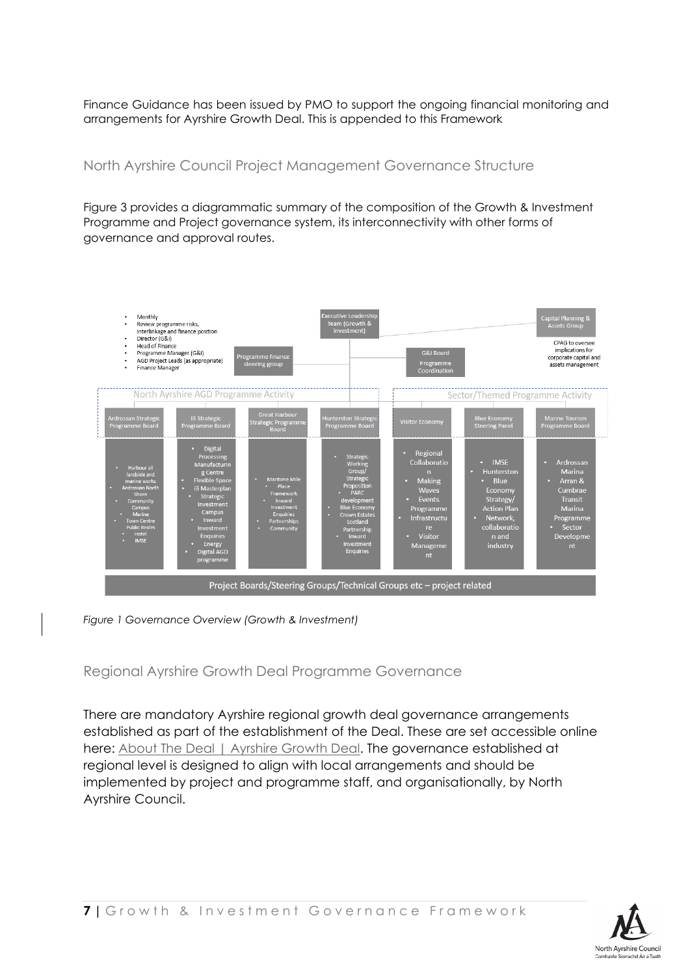Finance Guidance has been issued by PMO to support the ongoing financial monitoring and arrangements for Ayrshire Growth Deal. This is appended to this Framework

### <span id="page-10-0"></span>North Ayrshire Council Project Management Governance Structure

Figure 3 provides a diagrammatic summary of the composition of the Growth & Investment Programme and Project governance system, its interconnectivity with other forms of governance and approval routes.



*Figure 1 Governance Overview (Growth & Investment)*

<span id="page-10-1"></span>Regional Ayrshire Growth Deal Programme Governance

There are mandatory Ayrshire regional growth deal governance arrangements established as part of the establishment of the Deal. These are set accessible online here: [About The Deal | Ayrshire Growth Deal.](https://www.ayrshiregrowthdeal.co.uk/about-the-deal/) The governance established at regional level is designed to align with local arrangements and should be implemented by project and programme staff, and organisationally, by North Ayrshire Council.



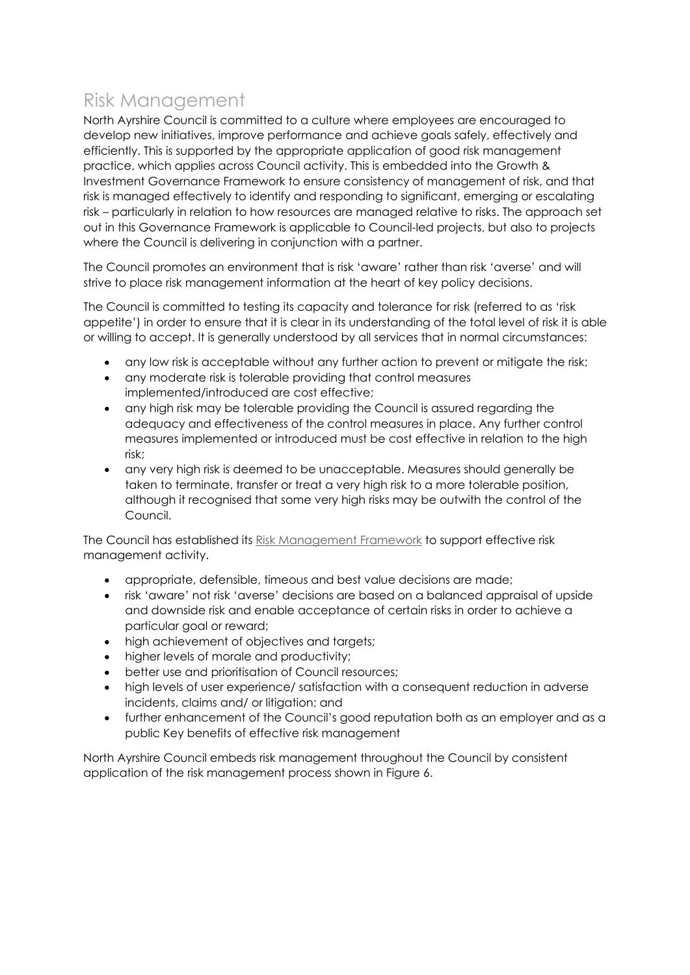### <span id="page-11-0"></span>Risk Management

North Ayrshire Council is committed to a culture where employees are encouraged to develop new initiatives, improve performance and achieve goals safely, effectively and efficiently. This is supported by the appropriate application of good risk management practice, which applies across Council activity. This is embedded into the Growth & Investment Governance Framework to ensure consistency of management of risk, and that risk is managed effectively to identify and responding to significant, emerging or escalating risk – particularly in relation to how resources are managed relative to risks. The approach set out in this Governance Framework is applicable to Council-led projects, but also to projects where the Council is delivering in conjunction with a partner.

The Council promotes an environment that is risk 'aware' rather than risk 'averse' and will strive to place risk management information at the heart of key policy decisions.

The Council is committed to testing its capacity and tolerance for risk (referred to as 'risk appetite') in order to ensure that it is clear in its understanding of the total level of risk it is able or willing to accept. It is generally understood by all services that in normal circumstances:

- any low risk is acceptable without any further action to prevent or mitigate the risk;
- any moderate risk is tolerable providing that control measures implemented/introduced are cost effective;
- any high risk may be tolerable providing the Council is assured regarding the adequacy and effectiveness of the control measures in place. Any further control measures implemented or introduced must be cost effective in relation to the high risk;
- any very high risk is deemed to be unacceptable. Measures should generally be taken to terminate, transfer or treat a very high risk to a more tolerable position, although it recognised that some very high risks may be outwith the control of the Council.

The Council has established its [Risk Management Framework](http://naconnects.north-ayrshire.gov.uk/documents/policies-procedures/finance-policies-procedures-strategies/risk-management-policy-strategy.pdf) to support effective risk management activity.

- appropriate, defensible, timeous and best value decisions are made;
- risk 'aware' not risk 'averse' decisions are based on a balanced appraisal of upside and downside risk and enable acceptance of certain risks in order to achieve a particular goal or reward;
- high achievement of objectives and targets;
- higher levels of morale and productivity;
- better use and prioritisation of Council resources;
- high levels of user experience/ satisfaction with a consequent reduction in adverse incidents, claims and/ or litigation; and
- further enhancement of the Council's good reputation both as an employer and as a public Key benefits of effective risk management

North Ayrshire Council embeds risk management throughout the Council by consistent application of the risk management process shown in Figure 6.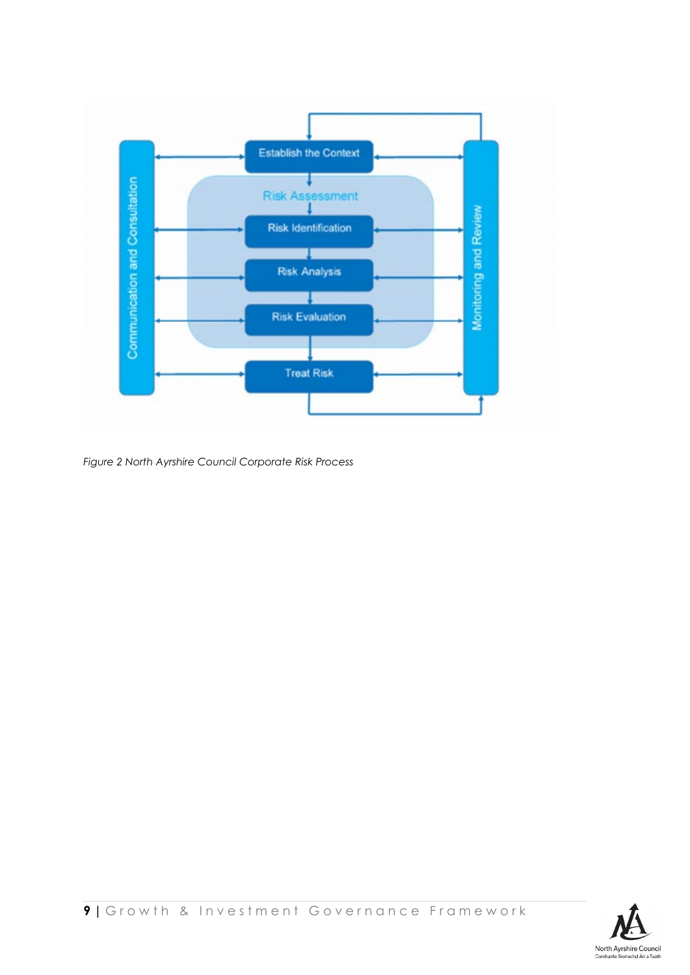

*Figure 2 North Ayrshire Council Corporate Risk Process*

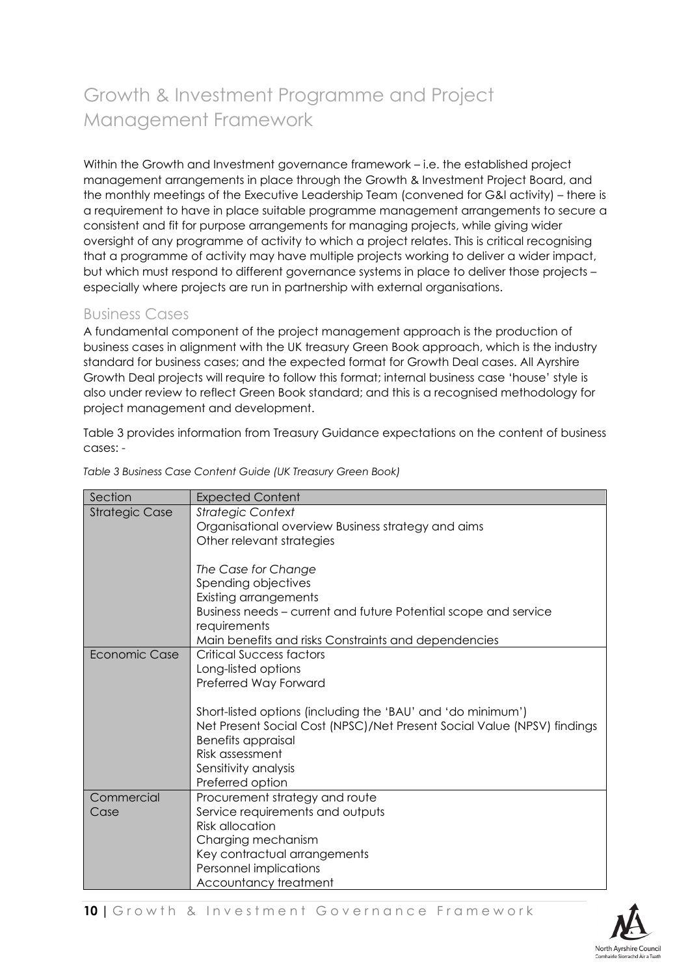# <span id="page-13-0"></span>Growth & Investment Programme and Project Management Framework

Within the Growth and Investment governance framework – i.e. the established project management arrangements in place through the Growth & Investment Project Board, and the monthly meetings of the Executive Leadership Team (convened for G&I activity) – there is a requirement to have in place suitable programme management arrangements to secure a consistent and fit for purpose arrangements for managing projects, while giving wider oversight of any programme of activity to which a project relates. This is critical recognising that a programme of activity may have multiple projects working to deliver a wider impact, but which must respond to different governance systems in place to deliver those projects – especially where projects are run in partnership with external organisations.

### <span id="page-13-1"></span>Business Cases

A fundamental component of the project management approach is the production of business cases in alignment with the UK treasury Green Book approach, which is the industry standard for business cases; and the expected format for Growth Deal cases. All Ayrshire Growth Deal projects will require to follow this format; internal business case 'house' style is also under review to reflect Green Book standard; and this is a recognised methodology for project management and development.

Table 3 provides information from Treasury Guidance expectations on the content of business cases: -

| Section               | <b>Expected Content</b>                                                 |
|-----------------------|-------------------------------------------------------------------------|
| <b>Strategic Case</b> | <b>Strategic Context</b>                                                |
|                       | Organisational overview Business strategy and aims                      |
|                       | Other relevant strategies                                               |
|                       | The Case for Change                                                     |
|                       | Spending objectives                                                     |
|                       | <b>Existing arrangements</b>                                            |
|                       | Business needs – current and future Potential scope and service         |
|                       | requirements                                                            |
|                       | Main benefits and risks Constraints and dependencies                    |
| Economic Case         | Critical Success factors                                                |
|                       | Long-listed options                                                     |
|                       | Preferred Way Forward                                                   |
|                       | Short-listed options (including the 'BAU' and 'do minimum')             |
|                       | Net Present Social Cost (NPSC)/Net Present Social Value (NPSV) findings |
|                       | <b>Benefits appraisal</b>                                               |
|                       | Risk assessment                                                         |
|                       | Sensitivity analysis                                                    |
|                       | Preferred option                                                        |
| Commercial            | Procurement strategy and route                                          |
| Case                  | Service requirements and outputs                                        |
|                       | <b>Risk allocation</b>                                                  |
|                       | Charging mechanism                                                      |
|                       | Key contractual arrangements                                            |
|                       | Personnel implications                                                  |
|                       | Accountancy treatment                                                   |

*Table 3 Business Case Content Guide (UK Treasury Green Book)*

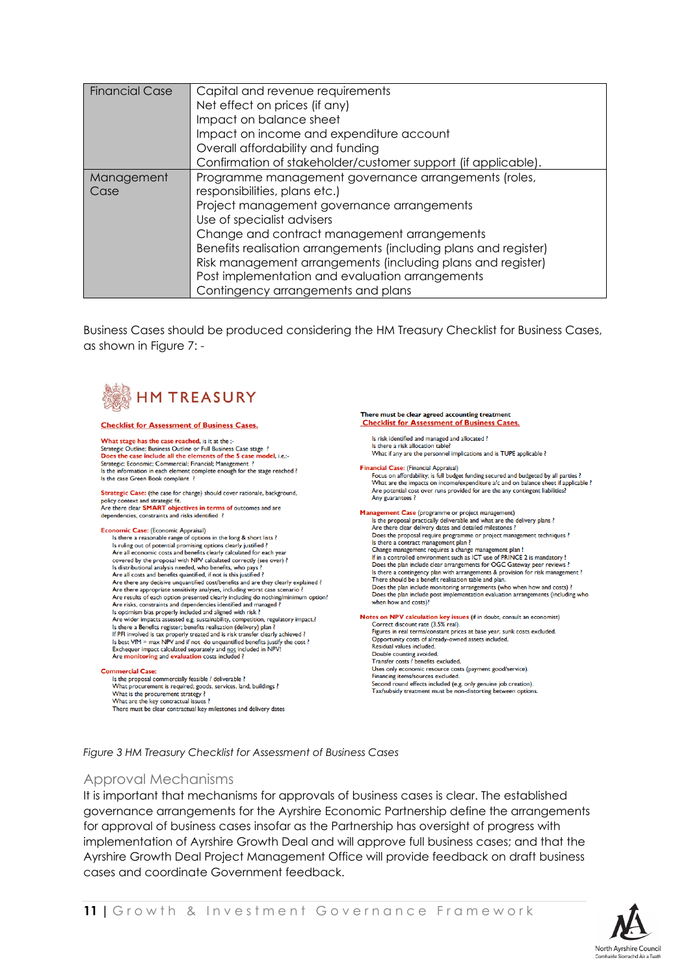| Financial Case     | Capital and revenue requirements<br>Net effect on prices (if any)<br>Impact on balance sheet<br>Impact on income and expenditure account<br>Overall affordability and funding<br>Confirmation of stakeholder/customer support (if applicable).                                                                                                                                                                                               |
|--------------------|----------------------------------------------------------------------------------------------------------------------------------------------------------------------------------------------------------------------------------------------------------------------------------------------------------------------------------------------------------------------------------------------------------------------------------------------|
| Management<br>Case | Programme management governance arrangements (roles,<br>responsibilities, plans etc.)<br>Project management governance arrangements<br>Use of specialist advisers<br>Change and contract management arrangements<br>Benefits realisation arrangements (including plans and register)<br>Risk management arrangements (including plans and register)<br>Post implementation and evaluation arrangements<br>Contingency arrangements and plans |

Business Cases should be produced considering the HM Treasury Checklist for Business Cases, as shown in Figure 7: -



#### **Checklist for Assessment of Business Cases.**

What stage has the case reached, is it at the a Strategic Outline; Business Outline or Full Business Case stage ?<br>Strategic Outline; Business Outline or Full Business Case stage ?<br>Does the case include all the elements of the 5 case model, i.e.:-**Strategic; Economic; Commercial; Financial; Management ?**<br>Is the information in each element complete enough for the stage reached ?<br>Is the case Green Book compliant ?

Strategic Case: (the case for change) should cover rationale, background, policy context and strategic fit.<br>
policy context and strategic fit.<br>
Are there clear **SMART** objectives in terms of outcomes and are dependencies, constraints and risks identified ?

#### Economic Case: (Economic Appraisal)

Is there a reasonable range of options in the long & short lists ?<br>Is there a reasonable range of options in the long & short lists ?<br>Is ruling out of potential promising options clearly justified ?<br>Are all economic costs covered by the proposal with NPV calculated correctly (see over) ? Cover en oy ure proposar win the reactation of recursive that is distributional analysis needed, who banefits, who pays ?<br>
Are all costs and benefits quantified, if not is this justified ?<br>
Are there any decisive unquantif Are there appropriate sensitivity analyses, including worst case scenario?<br>Are there appropriate sensitivity analyses, including worst case scenario?<br>Are results of each option presented clearly including do nothing/minim Is optimism bias properly included and aligned with risk? So points to wake the system of the system of the system of the system of the system of the system of the system of the system of the system of the system of the system of the system of the system of the system of the syst in The Host VIM = max NPV and if not do unquantified benefits justify the cost?<br>Exchequer impact calculated separately and <u>not</u> included in NPV!<br>Are **monitoring** and **evaluation** costs included ?

#### **Commercial Case:**

Interaction Case Commercially feasible / deliverable ?<br>
What procurement is required; goods, services, land, buildings ?<br>
What is the procurement strategy ? the proposal commercially feasible / deliverable What is the procurement strategy?<br>What are the key contractual issues? There must be clear contractual key milestones and delivery dates

#### There must be clear agreed accounting treatment **Checklist for Assessment of Business Cases.**

Is risk identified and managed and allocated ?<br>Is there a risk allocation table?

What if any are the personnel implications and is TUPE applicable ?

ancial Case: (Financial Appraisal) **ancial Case:** (rimancial Appraisal)<br>Focus on affordability; is full budget funding secured and budgeted by all parties ?<br>What are the impacts on income/expenditure a/c and on balance sheet if applicable ?<br>Are potential co Are potential co<br>Any guarantees

**Management Case** (programme or project management)<br>Is the proposal practically deliverable and what are the delivery plans?<br>Are there clear delivery dates and detailed milestones ? Process can currery data same or project management techniques ?<br>
Is there a contract management plan ?<br>
Shange management requires a change management plan ! If in a controlled environment such as ICT use of PRINCE 2 is mandatory If in a controlled entromment such that the US of CGC Gateway peer reviews ?<br>Is there a contingency plan with arrangements & provision for risk management ?<br>Is there a contingency plan with arrangements & provision for ris Does the plan include monitoring arrangements (who when how and costs) ?<br>Does the plan include monitoring arrangements (who when how and costs) ?<br>Does the plan include post implementation evaluation arrangements (including when how and costs)?

Notes on NPV calculation key issues (if in doubt, consult an economist)<br>Correct discount rate (3.5% real).

Figures in real terms/constant prices at base year, sunk costs excluded. Opportunity costs of already-owned assets included.<br>Residual values included. Residual values included.<br>Double counting avoided.<br>Transfer costs / benefits excluded. Uses only economic resource costs (payment good/service).<br>Financing items/sources excluded. Second round effects included (e.g. only genuine job creation).<br>Tax/subsidy treatment must be non-distorting between options.

*Figure 3 HM Treasury Checklist for Assessment of Business Cases*

#### <span id="page-14-0"></span>Approval Mechanisms

It is important that mechanisms for approvals of business cases is clear. The established governance arrangements for the Ayrshire Economic Partnership define the arrangements for approval of business cases insofar as the Partnership has oversight of progress with implementation of Ayrshire Growth Deal and will approve full business cases; and that the Ayrshire Growth Deal Project Management Office will provide feedback on draft business cases and coordinate Government feedback.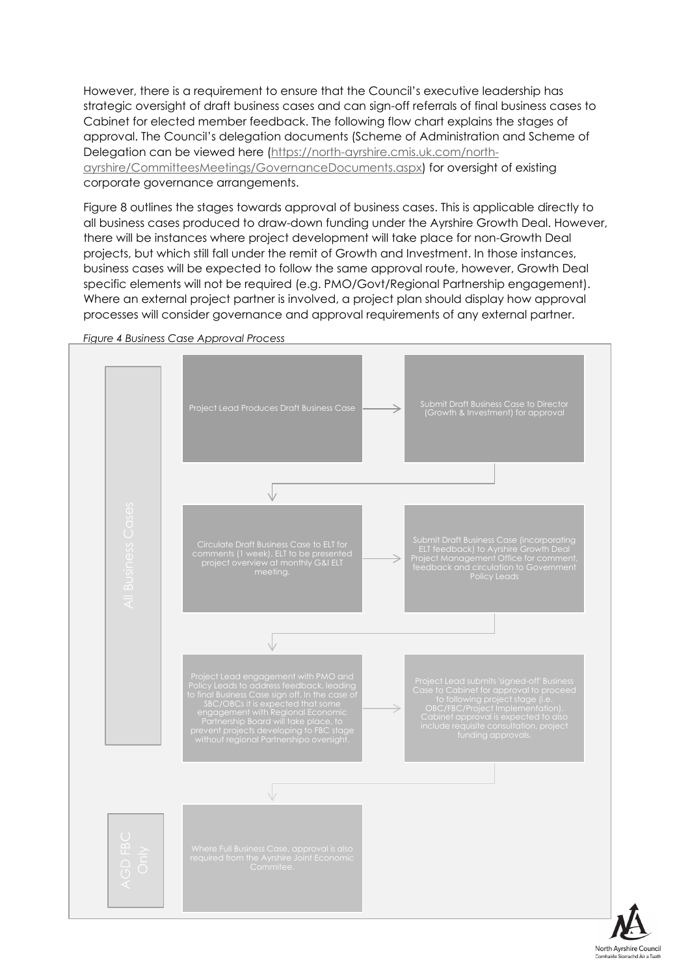However, there is a requirement to ensure that the Council's executive leadership has strategic oversight of draft business cases and can sign-off referrals of final business cases to Cabinet for elected member feedback. The following flow chart explains the stages of approval. The Council's delegation documents (Scheme of Administration and Scheme of Delegation can be viewed here [\(https://north-ayrshire.cmis.uk.com/north](https://north-ayrshire.cmis.uk.com/north-ayrshire/CommitteesMeetings/GovernanceDocuments.aspx)[ayrshire/CommitteesMeetings/GovernanceDocuments.aspx\)](https://north-ayrshire.cmis.uk.com/north-ayrshire/CommitteesMeetings/GovernanceDocuments.aspx) for oversight of existing corporate governance arrangements.

Figure 8 outlines the stages towards approval of business cases. This is applicable directly to all business cases produced to draw-down funding under the Ayrshire Growth Deal. However, there will be instances where project development will take place for non-Growth Deal projects, but which still fall under the remit of Growth and Investment. In those instances, business cases will be expected to follow the same approval route, however, Growth Deal specific elements will not be required (e.g. PMO/Govt/Regional Partnership engagement). Where an external project partner is involved, a project plan should display how approval processes will consider governance and approval requirements of any external partner.



*Figure 4 Business Case Approval Process*

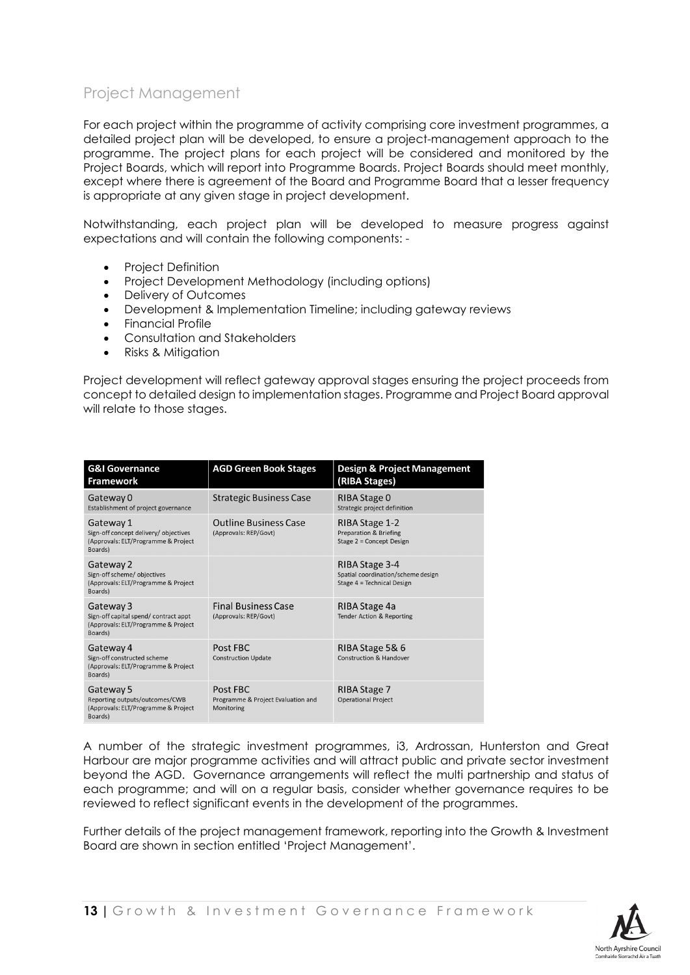### <span id="page-16-0"></span>Project Management

For each project within the programme of activity comprising core investment programmes, a detailed project plan will be developed, to ensure a project-management approach to the programme. The project plans for each project will be considered and monitored by the Project Boards, which will report into Programme Boards. Project Boards should meet monthly, except where there is agreement of the Board and Programme Board that a lesser frequency is appropriate at any given stage in project development.

Notwithstanding, each project plan will be developed to measure progress against expectations and will contain the following components: -

- Project Definition
- Project Development Methodology (including options)
- Delivery of Outcomes
- Development & Implementation Timeline; including gateway reviews
- Financial Profile
- Consultation and Stakeholders
- Risks & Mitigation

Project development will reflect gateway approval stages ensuring the project proceeds from concept to detailed design to implementation stages. Programme and Project Board approval will relate to those stages.

| <b>G&amp;I Governance</b><br><b>Framework</b>                                                        | <b>AGD Green Book Stages</b>                                 | <b>Design &amp; Project Management</b><br>(RIBA Stages)                            |
|------------------------------------------------------------------------------------------------------|--------------------------------------------------------------|------------------------------------------------------------------------------------|
| Gateway 0<br>Establishment of project governance                                                     | <b>Strategic Business Case</b>                               | RIBA Stage 0<br>Strategic project definition                                       |
| Gateway 1<br>Sign-off concept delivery/ objectives<br>(Approvals: ELT/Programme & Project<br>Boards) | <b>Outline Business Case</b><br>(Approvals: REP/Govt)        | RIBA Stage 1-2<br>Preparation & Briefing<br>Stage 2 = Concept Design               |
| Gateway 2<br>Sign-off scheme/ objectives<br>(Approvals: ELT/Programme & Project<br>Boards)           |                                                              | RIBA Stage 3-4<br>Spatial coordination/scheme design<br>Stage 4 = Technical Design |
| Gateway 3<br>Sign-off capital spend/ contract appt<br>(Approvals: ELT/Programme & Project<br>Boards) | <b>Final Business Case</b><br>(Approvals: REP/Govt)          | RIBA Stage 4a<br><b>Tender Action &amp; Reporting</b>                              |
| Gateway 4<br>Sign-off constructed scheme<br>(Approvals: ELT/Programme & Project<br>Boards)           | Post FBC<br><b>Construction Update</b>                       | RIBA Stage 5& 6<br>Construction & Handover                                         |
| Gateway 5<br>Reporting outputs/outcomes/CWB<br>(Approvals: ELT/Programme & Project<br>Boards)        | Post FBC<br>Programme & Project Evaluation and<br>Monitoring | RIBA Stage 7<br><b>Operational Project</b>                                         |

A number of the strategic investment programmes, i3, Ardrossan, Hunterston and Great Harbour are major programme activities and will attract public and private sector investment beyond the AGD. Governance arrangements will reflect the multi partnership and status of each programme; and will on a regular basis, consider whether governance requires to be reviewed to reflect significant events in the development of the programmes.

Further details of the project management framework, reporting into the Growth & Investment Board are shown in section entitled 'Project Management'.

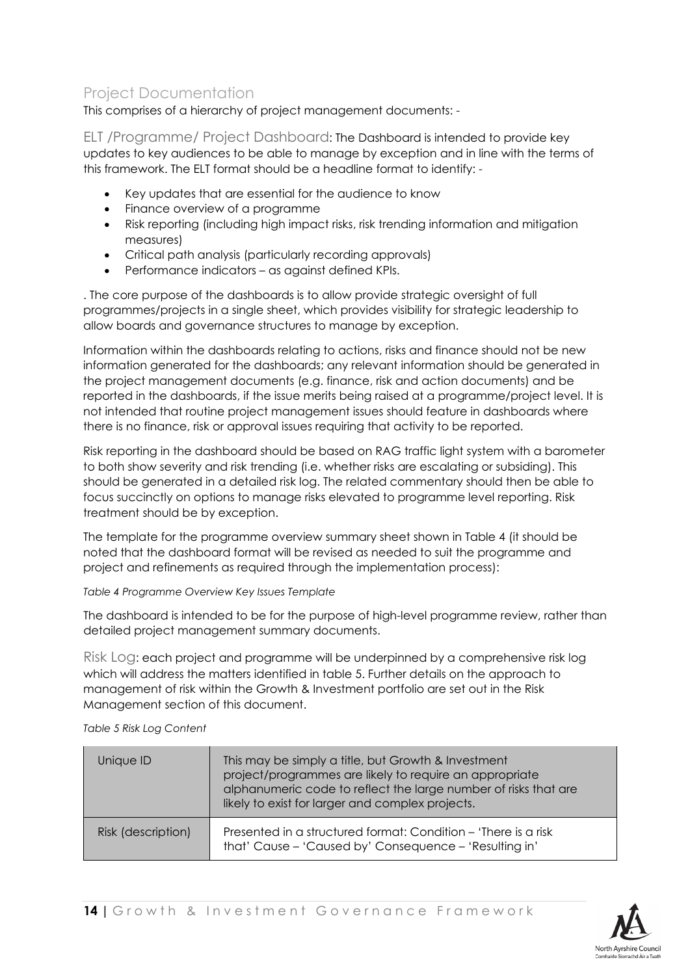### <span id="page-17-0"></span>Project Documentation

This comprises of a hierarchy of project management documents: -

<span id="page-17-1"></span>ELT /Programme/ Project Dashboard: The Dashboard is intended to provide key updates to key audiences to be able to manage by exception and in line with the terms of this framework. The ELT format should be a headline format to identify: -

- Key updates that are essential for the audience to know
- Finance overview of a programme
- Risk reporting (including high impact risks, risk trending information and mitigation measures)
- Critical path analysis (particularly recording approvals)
- Performance indicators as against defined KPIs.

. The core purpose of the dashboards is to allow provide strategic oversight of full programmes/projects in a single sheet, which provides visibility for strategic leadership to allow boards and governance structures to manage by exception.

Information within the dashboards relating to actions, risks and finance should not be new information generated for the dashboards; any relevant information should be generated in the project management documents (e.g. finance, risk and action documents) and be reported in the dashboards, if the issue merits being raised at a programme/project level. It is not intended that routine project management issues should feature in dashboards where there is no finance, risk or approval issues requiring that activity to be reported.

Risk reporting in the dashboard should be based on RAG traffic light system with a barometer to both show severity and risk trending (i.e. whether risks are escalating or subsiding). This should be generated in a detailed risk log. The related commentary should then be able to focus succinctly on options to manage risks elevated to programme level reporting. Risk treatment should be by exception.

The template for the programme overview summary sheet shown in Table 4 (it should be noted that the dashboard format will be revised as needed to suit the programme and project and refinements as required through the implementation process):

*Table 4 Programme Overview Key Issues Template*

The dashboard is intended to be for the purpose of high-level programme review, rather than detailed project management summary documents.

<span id="page-17-2"></span>Risk Log: each project and programme will be underpinned by a comprehensive risk log which will address the matters identified in table 5. Further details on the approach to management of risk within the Growth & Investment portfolio are set out in the Risk Management section of this document.

*Table 5 Risk Log Content*

| Unique ID          | This may be simply a title, but Growth & Investment<br>project/programmes are likely to require an appropriate<br>alphanumeric code to reflect the large number of risks that are<br>likely to exist for larger and complex projects. |
|--------------------|---------------------------------------------------------------------------------------------------------------------------------------------------------------------------------------------------------------------------------------|
| Risk (description) | Presented in a structured format: Condition – 'There is a risk<br>that' Cause - 'Caused by' Consequence - 'Resulting in'                                                                                                              |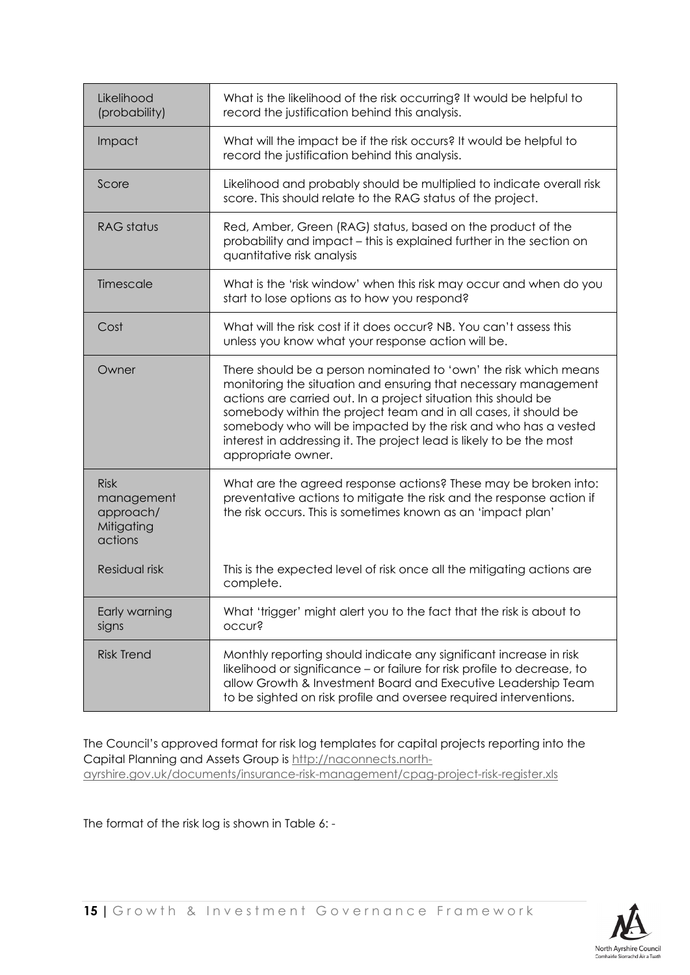| Likelihood<br>(probability)                                     | What is the likelihood of the risk occurring? It would be helpful to<br>record the justification behind this analysis.                                                                                                                                                                                                                                                                                                                   |
|-----------------------------------------------------------------|------------------------------------------------------------------------------------------------------------------------------------------------------------------------------------------------------------------------------------------------------------------------------------------------------------------------------------------------------------------------------------------------------------------------------------------|
| Impact                                                          | What will the impact be if the risk occurs? It would be helpful to<br>record the justification behind this analysis.                                                                                                                                                                                                                                                                                                                     |
| Score                                                           | Likelihood and probably should be multiplied to indicate overall risk<br>score. This should relate to the RAG status of the project.                                                                                                                                                                                                                                                                                                     |
| RAG status                                                      | Red, Amber, Green (RAG) status, based on the product of the<br>probability and impact - this is explained further in the section on<br>quantitative risk analysis                                                                                                                                                                                                                                                                        |
| Timescale                                                       | What is the 'risk window' when this risk may occur and when do you<br>start to lose options as to how you respond?                                                                                                                                                                                                                                                                                                                       |
| Cost                                                            | What will the risk cost if it does occur? NB, You can't assess this<br>unless you know what your response action will be.                                                                                                                                                                                                                                                                                                                |
| Owner                                                           | There should be a person nominated to 'own' the risk which means<br>monitoring the situation and ensuring that necessary management<br>actions are carried out. In a project situation this should be<br>somebody within the project team and in all cases, it should be<br>somebody who will be impacted by the risk and who has a vested<br>interest in addressing it. The project lead is likely to be the most<br>appropriate owner. |
| <b>Risk</b><br>management<br>approach/<br>Mitigating<br>actions | What are the agreed response actions? These may be broken into:<br>preventative actions to mitigate the risk and the response action if<br>the risk occurs. This is sometimes known as an 'impact plan'                                                                                                                                                                                                                                  |
| Residual risk                                                   | This is the expected level of risk once all the mitigating actions are<br>complete.                                                                                                                                                                                                                                                                                                                                                      |
| Early warning<br>signs                                          | What 'trigger' might alert you to the fact that the risk is about to<br>occur?                                                                                                                                                                                                                                                                                                                                                           |
| <b>Risk Trend</b>                                               | Monthly reporting should indicate any significant increase in risk<br>likelihood or significance - or failure for risk profile to decrease, to<br>allow Growth & Investment Board and Executive Leadership Team<br>to be sighted on risk profile and oversee required interventions.                                                                                                                                                     |

The Council's approved format for risk log templates for capital projects reporting into the Capital Planning and Assets Group is [http://naconnects.north](http://naconnects.north-ayrshire.gov.uk/documents/insurance-risk-management/cpag-project-risk-register.xls)[ayrshire.gov.uk/documents/insurance-risk-management/cpag-project-risk-register.xls](http://naconnects.north-ayrshire.gov.uk/documents/insurance-risk-management/cpag-project-risk-register.xls)

The format of the risk log is shown in Table 6: -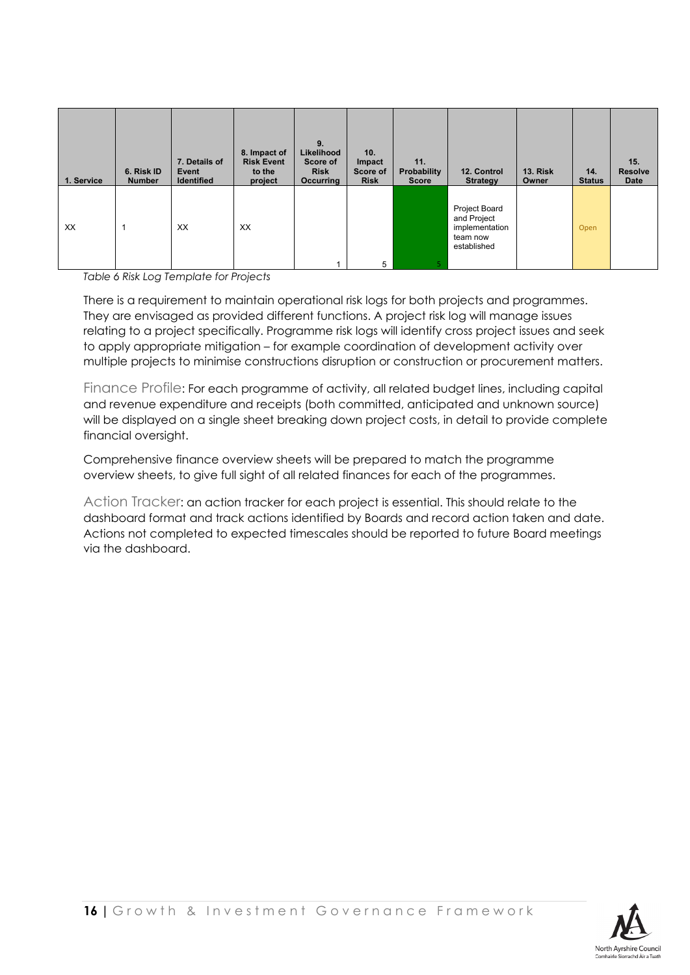| 1. Service | 6. Risk ID<br><b>Number</b> | 7. Details of<br>Event<br><b>Identified</b> | 8. Impact of<br><b>Risk Event</b><br>to the<br>project | 9.<br>Likelihood<br>Score of<br><b>Risk</b><br><b>Occurring</b> | 10.<br>Impact<br>Score of<br><b>Risk</b> | 11.<br>Probability<br><b>Score</b> | 12. Control<br><b>Strategy</b>                                            | <b>13. Risk</b><br>Owner | 14.<br><b>Status</b> | 15.<br><b>Resolve</b><br>Date |
|------------|-----------------------------|---------------------------------------------|--------------------------------------------------------|-----------------------------------------------------------------|------------------------------------------|------------------------------------|---------------------------------------------------------------------------|--------------------------|----------------------|-------------------------------|
| XX         |                             | XX                                          | XX                                                     |                                                                 | 5                                        |                                    | Project Board<br>and Project<br>implementation<br>team now<br>established |                          | Open                 |                               |

*Table 6 Risk Log Template for Projects*

There is a requirement to maintain operational risk logs for both projects and programmes. They are envisaged as provided different functions. A project risk log will manage issues relating to a project specifically. Programme risk logs will identify cross project issues and seek to apply appropriate mitigation – for example coordination of development activity over multiple projects to minimise constructions disruption or construction or procurement matters.

<span id="page-19-0"></span>Finance Profile: For each programme of activity, all related budget lines, including capital and revenue expenditure and receipts (both committed, anticipated and unknown source) will be displayed on a single sheet breaking down project costs, in detail to provide complete financial oversight.

Comprehensive finance overview sheets will be prepared to match the programme overview sheets, to give full sight of all related finances for each of the programmes.

<span id="page-19-1"></span>Action Tracker: an action tracker for each project is essential. This should relate to the dashboard format and track actions identified by Boards and record action taken and date. Actions not completed to expected timescales should be reported to future Board meetings via the dashboard.

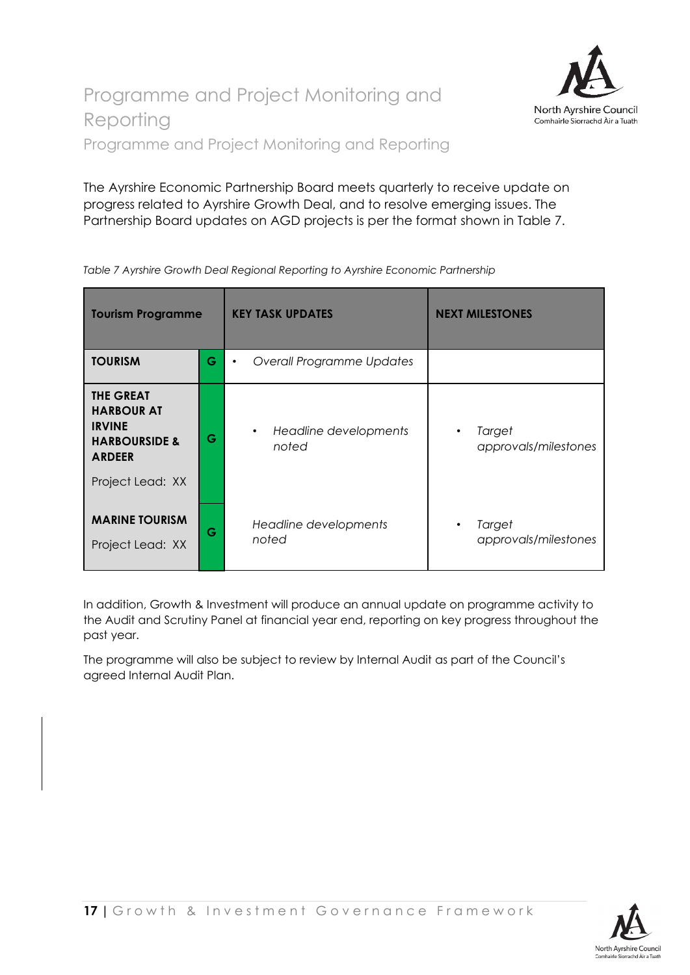

<span id="page-20-1"></span><span id="page-20-0"></span>The Ayrshire Economic Partnership Board meets quarterly to receive update on progress related to Ayrshire Growth Deal, and to resolve emerging issues. The Partnership Board updates on AGD projects is per the format shown in Table 7.

| <b>Tourism Programme</b>                                                                                                |   | <b>KEY TASK UPDATES</b>                | <b>NEXT MILESTONES</b>         |
|-------------------------------------------------------------------------------------------------------------------------|---|----------------------------------------|--------------------------------|
| <b>TOURISM</b>                                                                                                          | G | Overall Programme Updates<br>$\bullet$ |                                |
| <b>THE GREAT</b><br><b>HARBOUR AT</b><br><b>IRVINE</b><br><b>HARBOURSIDE &amp;</b><br><b>ARDEER</b><br>Project Lead: XX | G | Headline developments<br>٠<br>noted    | Target<br>approvals/milestones |
| <b>MARINE TOURISM</b><br>Project Lead: XX                                                                               | G | Headline developments<br>noted         | Target<br>approvals/milestones |

*Table 7 Ayrshire Growth Deal Regional Reporting to Ayrshire Economic Partnership*

In addition, Growth & Investment will produce an annual update on programme activity to the Audit and Scrutiny Panel at financial year end, reporting on key progress throughout the past year.

The programme will also be subject to review by Internal Audit as part of the Council's agreed Internal Audit Plan.

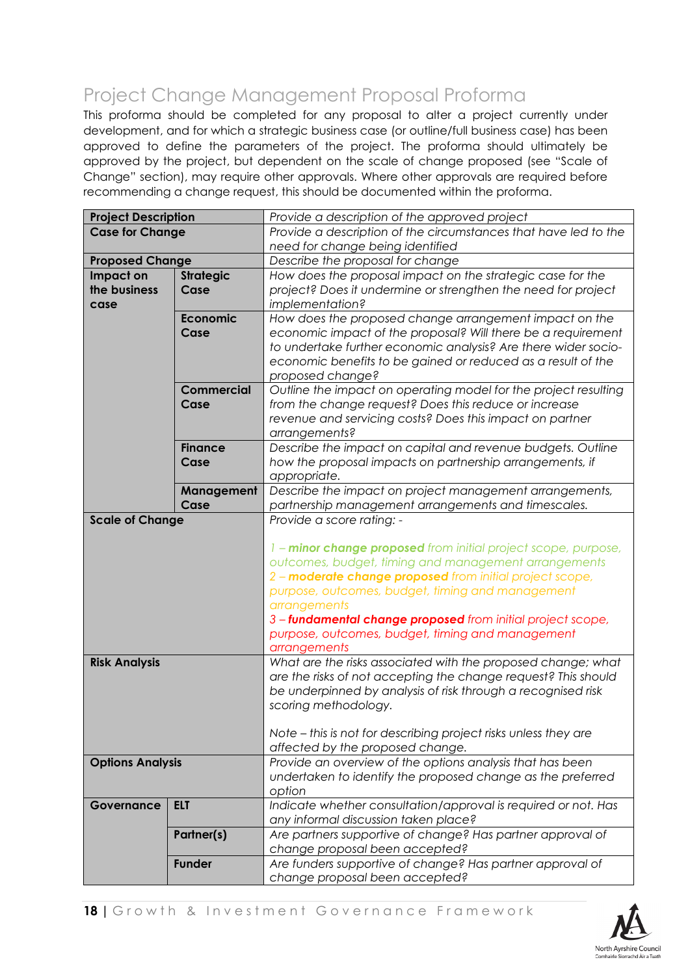# <span id="page-21-0"></span>Project Change Management Proposal Proforma

This proforma should be completed for any proposal to alter a project currently under development, and for which a strategic business case (or outline/full business case) has been approved to define the parameters of the project. The proforma should ultimately be approved by the project, but dependent on the scale of change proposed (see "Scale of Change" section), may require other approvals. Where other approvals are required before recommending a change request, this should be documented within the proforma.

| <b>Project Description</b> |                   | Provide a description of the approved project                   |  |  |
|----------------------------|-------------------|-----------------------------------------------------------------|--|--|
| <b>Case for Change</b>     |                   | Provide a description of the circumstances that have led to the |  |  |
|                            |                   | need for change being identified                                |  |  |
| <b>Proposed Change</b>     |                   | Describe the proposal for change                                |  |  |
| Impact on                  | <b>Strategic</b>  | How does the proposal impact on the strategic case for the      |  |  |
| the business               | Case              | project? Does it undermine or strengthen the need for project   |  |  |
| case                       |                   | implementation?                                                 |  |  |
|                            | <b>Economic</b>   | How does the proposed change arrangement impact on the          |  |  |
|                            | Case              | economic impact of the proposal? Will there be a requirement    |  |  |
|                            |                   | to undertake further economic analysis? Are there wider socio-  |  |  |
|                            |                   | economic benefits to be gained or reduced as a result of the    |  |  |
|                            |                   | proposed change?                                                |  |  |
|                            | <b>Commercial</b> | Outline the impact on operating model for the project resulting |  |  |
|                            | Case              | from the change request? Does this reduce or increase           |  |  |
|                            |                   | revenue and servicing costs? Does this impact on partner        |  |  |
|                            |                   | arrangements?                                                   |  |  |
|                            | <b>Finance</b>    | Describe the impact on capital and revenue budgets. Outline     |  |  |
|                            | Case              | how the proposal impacts on partnership arrangements, if        |  |  |
|                            |                   | appropriate.                                                    |  |  |
|                            | Management        | Describe the impact on project management arrangements,         |  |  |
|                            | Case              | partnership management arrangements and timescales.             |  |  |
| <b>Scale of Change</b>     |                   | Provide a score rating: -                                       |  |  |
|                            |                   |                                                                 |  |  |
|                            |                   | 1 - minor change proposed from initial project scope, purpose,  |  |  |
|                            |                   | outcomes, budget, timing and management arrangements            |  |  |
|                            |                   | 2 - moderate change proposed from initial project scope,        |  |  |
|                            |                   | purpose, outcomes, budget, timing and management                |  |  |
|                            |                   | arrangements                                                    |  |  |
|                            |                   | 3-fundamental change proposed from initial project scope,       |  |  |
|                            |                   | purpose, outcomes, budget, timing and management                |  |  |
|                            |                   | arrangements                                                    |  |  |
| <b>Risk Analysis</b>       |                   | What are the risks associated with the proposed change; what    |  |  |
|                            |                   | are the risks of not accepting the change request? This should  |  |  |
|                            |                   | be underpinned by analysis of risk through a recognised risk    |  |  |
|                            |                   | scoring methodology.                                            |  |  |
|                            |                   |                                                                 |  |  |
|                            |                   | Note - this is not for describing project risks unless they are |  |  |
|                            |                   | affected by the proposed change.                                |  |  |
| <b>Options Analysis</b>    |                   | Provide an overview of the options analysis that has been       |  |  |
|                            |                   | undertaken to identify the proposed change as the preferred     |  |  |
|                            |                   | option                                                          |  |  |
| Governance                 | <b>ELT</b>        | Indicate whether consultation/approval is required or not. Has  |  |  |
|                            |                   | any informal discussion taken place?                            |  |  |
|                            | Partner(s)        | Are partners supportive of change? Has partner approval of      |  |  |
|                            |                   | change proposal been accepted?                                  |  |  |
|                            | <b>Funder</b>     | Are funders supportive of change? Has partner approval of       |  |  |
|                            |                   | change proposal been accepted?                                  |  |  |